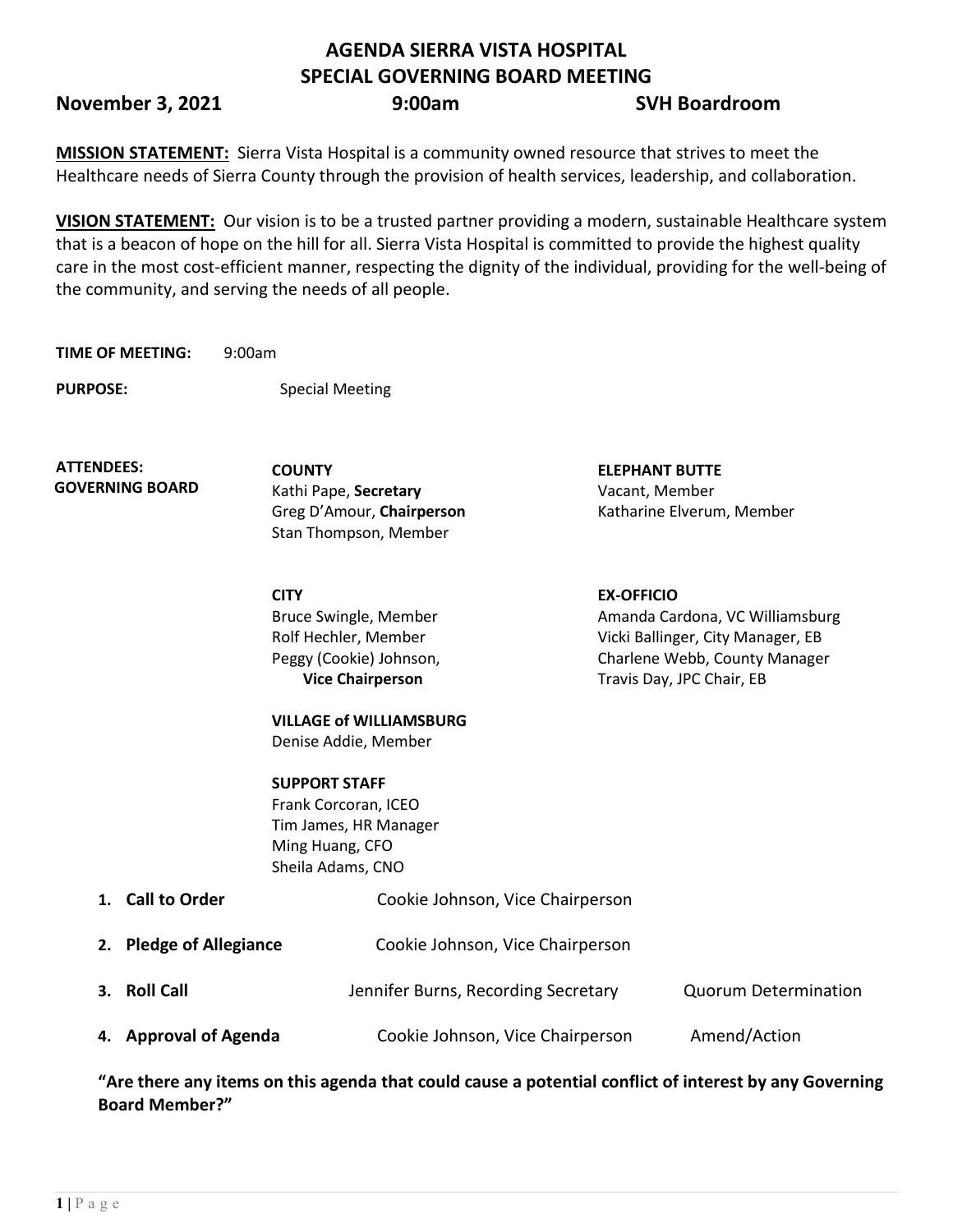## **AGENDA SIERRA VISTA HOSPITAL SPECIAL GOVERNING BOARD MEETING**

**November 3, 2021 9:00am** SVH Boardroom

**MISSION STATEMENT:** Sierra Vista Hospital is a community owned resource that strives to meet the Healthcare needs of Sierra County through the provision of health services, leadership, and collaboration.

**VISION STATEMENT:** Our vision is to be a trusted partner providing a modern, sustainable Healthcare system that is a beacon of hope on the hill for all. Sierra Vista Hospital is committed to provide the highest quality care in the most cost-efficient manner, respecting the dignity of the individual, providing for the well-being of the community, and serving the needs of all people.

**TIME OF MEETING:** 9:00am

**PURPOSE:** Special Meeting

**ATTENDEES: GOVERNING BOARD**

Kathi Pape, **Secretary** Vacant, Member Stan Thompson, Member

**CITY EX-OFFICIO** Bruce Swingle, Member Rolf Hechler, Member Peggy (Cookie) Johnson, **Vice Chairperson**

**COUNTY ELEPHANT BUTTE**  Greg D'Amour, **Chairperson** Katharine Elverum, Member

> Amanda Cardona, VC Williamsburg Vicki Ballinger, City Manager, EB Charlene Webb, County Manager Travis Day, JPC Chair, EB

**VILLAGE of WILLIAMSBURG** Denise Addie, Member

**SUPPORT STAFF** Frank Corcoran, ICEO Tim James, HR Manager Ming Huang, CFO Sheila Adams, CNO

| 1. Call to Order        | Cookie Johnson, Vice Chairperson    |                             |
|-------------------------|-------------------------------------|-----------------------------|
| 2. Pledge of Allegiance | Cookie Johnson, Vice Chairperson    |                             |
| 3. Roll Call            | Jennifer Burns, Recording Secretary | <b>Quorum Determination</b> |
| 4. Approval of Agenda   | Cookie Johnson, Vice Chairperson    | Amend/Action                |

**"Are there any items on this agenda that could cause a potential conflict of interest by any Governing Board Member?"**